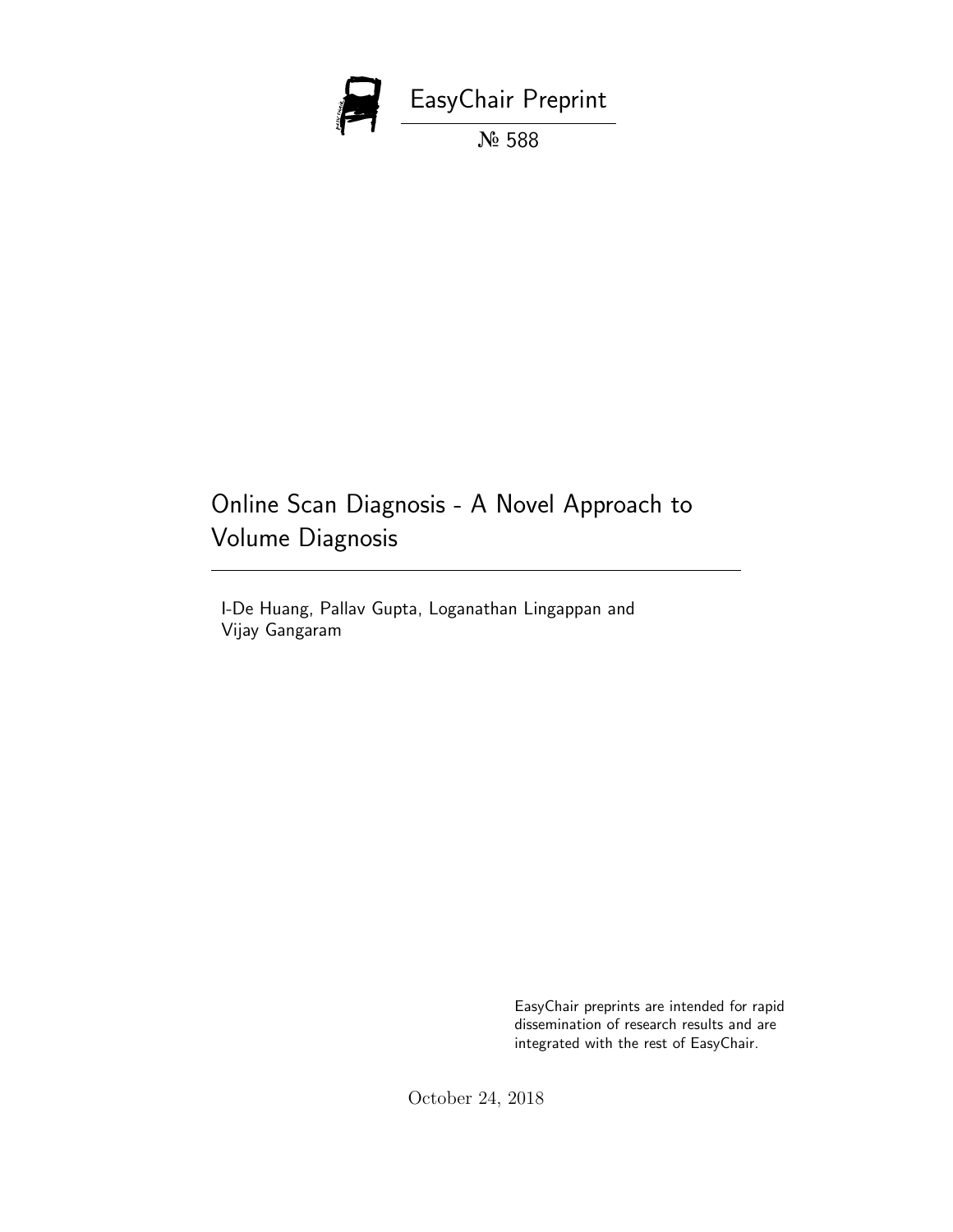

# Online Scan Diagnosis - A Novel Approach to Volume Diagnosis

I-De Huang, Pallav Gupta, Loganathan Lingappan and Vijay Gangaram

> EasyChair preprints are intended for rapid dissemination of research results and are integrated with the rest of EasyChair.

October 24, 2018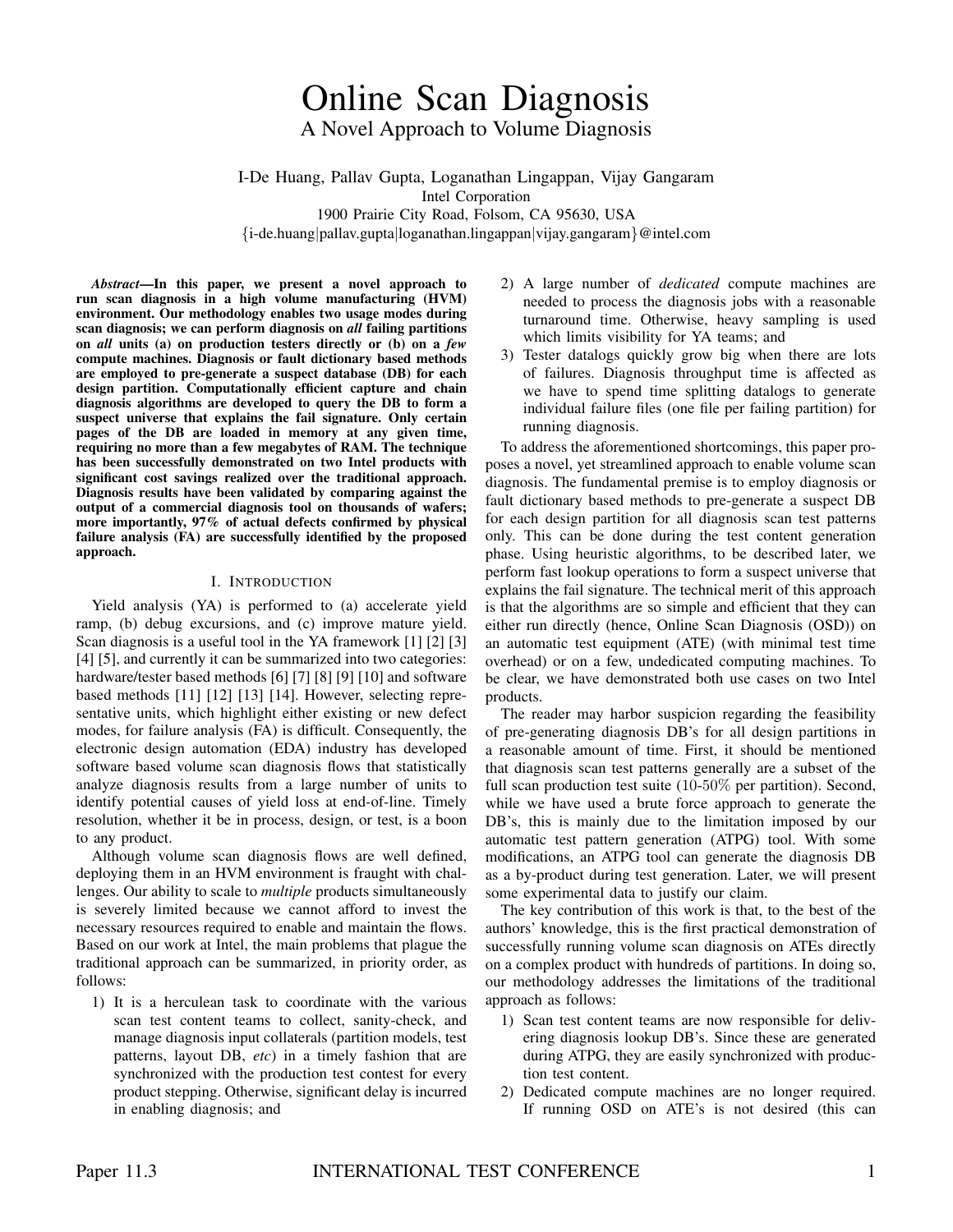# Online Scan Diagnosis A Novel Approach to Volume Diagnosis

I-De Huang, Pallav Gupta, Loganathan Lingappan, Vijay Gangaram Intel Corporation

1900 Prairie City Road, Folsom, CA 95630, USA {i-de.huang|pallav.gupta|loganathan.lingappan|vijay.gangaram}@intel.com

*Abstract*—In this paper, we present a novel approach to run scan diagnosis in a high volume manufacturing (HVM) environment. Our methodology enables two usage modes during scan diagnosis; we can perform diagnosis on *all* failing partitions on *all* units (a) on production testers directly or (b) on a *few* compute machines. Diagnosis or fault dictionary based methods are employed to pre-generate a suspect database (DB) for each design partition. Computationally efficient capture and chain diagnosis algorithms are developed to query the DB to form a suspect universe that explains the fail signature. Only certain pages of the DB are loaded in memory at any given time, requiring no more than a few megabytes of RAM. The technique has been successfully demonstrated on two Intel products with significant cost savings realized over the traditional approach. Diagnosis results have been validated by comparing against the output of a commercial diagnosis tool on thousands of wafers; more importantly, 97% of actual defects confirmed by physical failure analysis (FA) are successfully identified by the proposed approach.

# I. INTRODUCTION

Yield analysis (YA) is performed to (a) accelerate yield ramp, (b) debug excursions, and (c) improve mature yield. Scan diagnosis is a useful tool in the YA framework [1] [2] [3] [4] [5], and currently it can be summarized into two categories: hardware/tester based methods [6] [7] [8] [9] [10] and software based methods [11] [12] [13] [14]. However, selecting representative units, which highlight either existing or new defect modes, for failure analysis (FA) is difficult. Consequently, the electronic design automation (EDA) industry has developed software based volume scan diagnosis flows that statistically analyze diagnosis results from a large number of units to identify potential causes of yield loss at end-of-line. Timely resolution, whether it be in process, design, or test, is a boon to any product.

Although volume scan diagnosis flows are well defined, deploying them in an HVM environment is fraught with challenges. Our ability to scale to *multiple* products simultaneously is severely limited because we cannot afford to invest the necessary resources required to enable and maintain the flows. Based on our work at Intel, the main problems that plague the traditional approach can be summarized, in priority order, as follows:

1) It is a herculean task to coordinate with the various scan test content teams to collect, sanity-check, and manage diagnosis input collaterals (partition models, test patterns, layout DB, *etc*) in a timely fashion that are synchronized with the production test contest for every product stepping. Otherwise, significant delay is incurred in enabling diagnosis; and

- 2) A large number of *dedicated* compute machines are needed to process the diagnosis jobs with a reasonable turnaround time. Otherwise, heavy sampling is used which limits visibility for YA teams; and
- 3) Tester datalogs quickly grow big when there are lots of failures. Diagnosis throughput time is affected as we have to spend time splitting datalogs to generate individual failure files (one file per failing partition) for running diagnosis.

To address the aforementioned shortcomings, this paper proposes a novel, yet streamlined approach to enable volume scan diagnosis. The fundamental premise is to employ diagnosis or fault dictionary based methods to pre-generate a suspect DB for each design partition for all diagnosis scan test patterns only. This can be done during the test content generation phase. Using heuristic algorithms, to be described later, we perform fast lookup operations to form a suspect universe that explains the fail signature. The technical merit of this approach is that the algorithms are so simple and efficient that they can either run directly (hence, Online Scan Diagnosis (OSD)) on an automatic test equipment (ATE) (with minimal test time overhead) or on a few, undedicated computing machines. To be clear, we have demonstrated both use cases on two Intel products.

The reader may harbor suspicion regarding the feasibility of pre-generating diagnosis DB's for all design partitions in a reasonable amount of time. First, it should be mentioned that diagnosis scan test patterns generally are a subset of the full scan production test suite (10-50% per partition). Second, while we have used a brute force approach to generate the DB's, this is mainly due to the limitation imposed by our automatic test pattern generation (ATPG) tool. With some modifications, an ATPG tool can generate the diagnosis DB as a by-product during test generation. Later, we will present some experimental data to justify our claim.

The key contribution of this work is that, to the best of the authors' knowledge, this is the first practical demonstration of successfully running volume scan diagnosis on ATEs directly on a complex product with hundreds of partitions. In doing so, our methodology addresses the limitations of the traditional approach as follows:

- 1) Scan test content teams are now responsible for delivering diagnosis lookup DB's. Since these are generated during ATPG, they are easily synchronized with production test content.
- 2) Dedicated compute machines are no longer required. If running OSD on ATE's is not desired (this can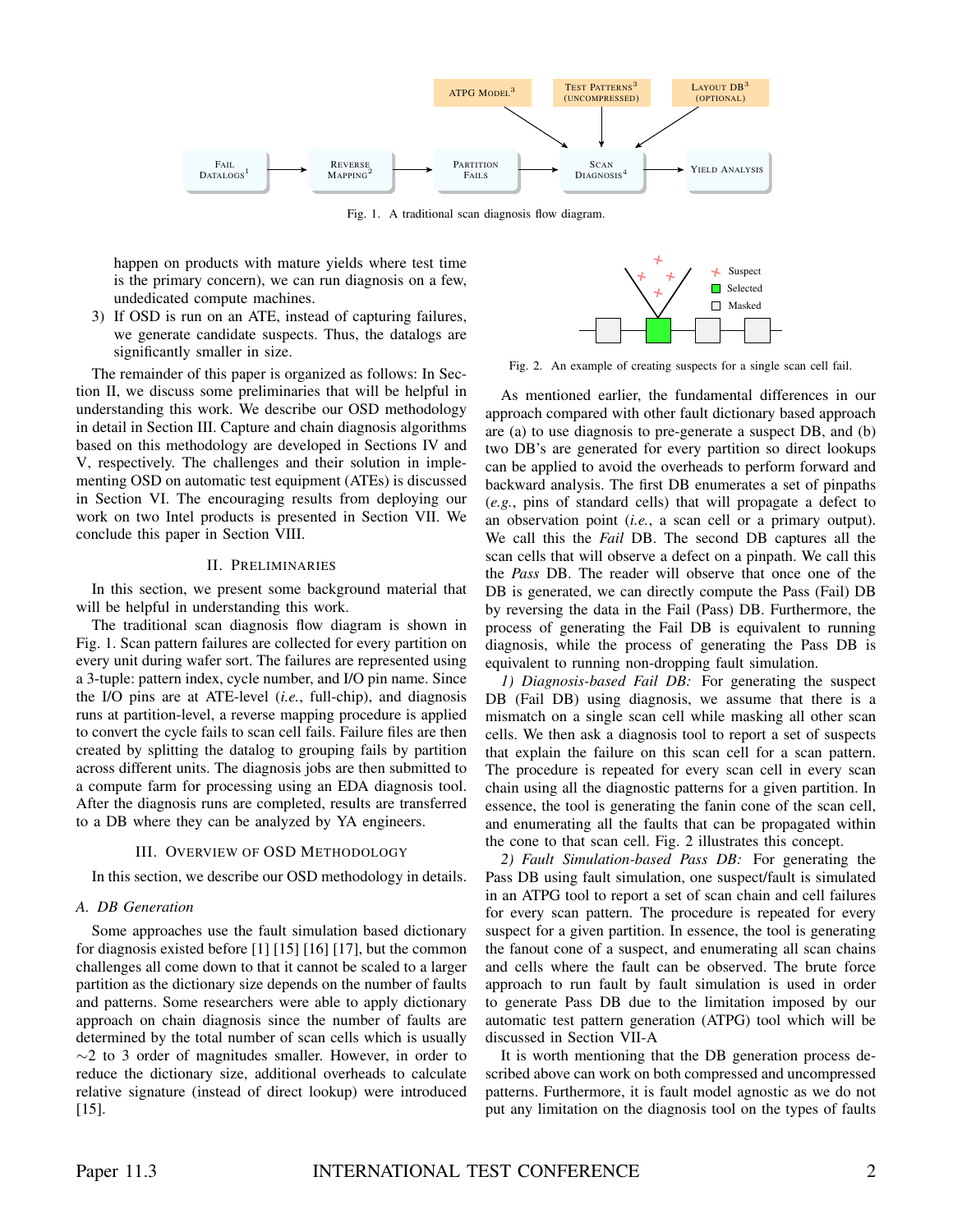

Fig. 1. A traditional scan diagnosis flow diagram.

happen on products with mature yields where test time is the primary concern), we can run diagnosis on a few, undedicated compute machines.

3) If OSD is run on an ATE, instead of capturing failures, we generate candidate suspects. Thus, the datalogs are significantly smaller in size.

The remainder of this paper is organized as follows: In Section II, we discuss some preliminaries that will be helpful in understanding this work. We describe our OSD methodology in detail in Section III. Capture and chain diagnosis algorithms based on this methodology are developed in Sections IV and V, respectively. The challenges and their solution in implementing OSD on automatic test equipment (ATEs) is discussed in Section VI. The encouraging results from deploying our work on two Intel products is presented in Section VII. We conclude this paper in Section VIII.

#### II. PRELIMINARIES

In this section, we present some background material that will be helpful in understanding this work.

The traditional scan diagnosis flow diagram is shown in Fig. 1. Scan pattern failures are collected for every partition on every unit during wafer sort. The failures are represented using a 3-tuple: pattern index, cycle number, and I/O pin name. Since the I/O pins are at ATE-level (*i.e.*, full-chip), and diagnosis runs at partition-level, a reverse mapping procedure is applied to convert the cycle fails to scan cell fails. Failure files are then created by splitting the datalog to grouping fails by partition across different units. The diagnosis jobs are then submitted to a compute farm for processing using an EDA diagnosis tool. After the diagnosis runs are completed, results are transferred to a DB where they can be analyzed by YA engineers.

# III. OVERVIEW OF OSD METHODOLOGY

In this section, we describe our OSD methodology in details.

# *A. DB Generation*

Some approaches use the fault simulation based dictionary for diagnosis existed before [1] [15] [16] [17], but the common challenges all come down to that it cannot be scaled to a larger partition as the dictionary size depends on the number of faults and patterns. Some researchers were able to apply dictionary approach on chain diagnosis since the number of faults are determined by the total number of scan cells which is usually  $\sim$ 2 to 3 order of magnitudes smaller. However, in order to reduce the dictionary size, additional overheads to calculate relative signature (instead of direct lookup) were introduced [15].



Fig. 2. An example of creating suspects for a single scan cell fail.

As mentioned earlier, the fundamental differences in our approach compared with other fault dictionary based approach are (a) to use diagnosis to pre-generate a suspect DB, and (b) two DB's are generated for every partition so direct lookups can be applied to avoid the overheads to perform forward and backward analysis. The first DB enumerates a set of pinpaths (*e.g.*, pins of standard cells) that will propagate a defect to an observation point (*i.e.*, a scan cell or a primary output). We call this the *Fail* DB. The second DB captures all the scan cells that will observe a defect on a pinpath. We call this the *Pass* DB. The reader will observe that once one of the DB is generated, we can directly compute the Pass (Fail) DB by reversing the data in the Fail (Pass) DB. Furthermore, the process of generating the Fail DB is equivalent to running diagnosis, while the process of generating the Pass DB is equivalent to running non-dropping fault simulation.

*1) Diagnosis-based Fail DB:* For generating the suspect DB (Fail DB) using diagnosis, we assume that there is a mismatch on a single scan cell while masking all other scan cells. We then ask a diagnosis tool to report a set of suspects that explain the failure on this scan cell for a scan pattern. The procedure is repeated for every scan cell in every scan chain using all the diagnostic patterns for a given partition. In essence, the tool is generating the fanin cone of the scan cell, and enumerating all the faults that can be propagated within the cone to that scan cell. Fig. 2 illustrates this concept.

*2) Fault Simulation-based Pass DB:* For generating the Pass DB using fault simulation, one suspect/fault is simulated in an ATPG tool to report a set of scan chain and cell failures for every scan pattern. The procedure is repeated for every suspect for a given partition. In essence, the tool is generating the fanout cone of a suspect, and enumerating all scan chains and cells where the fault can be observed. The brute force approach to run fault by fault simulation is used in order to generate Pass DB due to the limitation imposed by our automatic test pattern generation (ATPG) tool which will be discussed in Section VII-A

It is worth mentioning that the DB generation process described above can work on both compressed and uncompressed patterns. Furthermore, it is fault model agnostic as we do not put any limitation on the diagnosis tool on the types of faults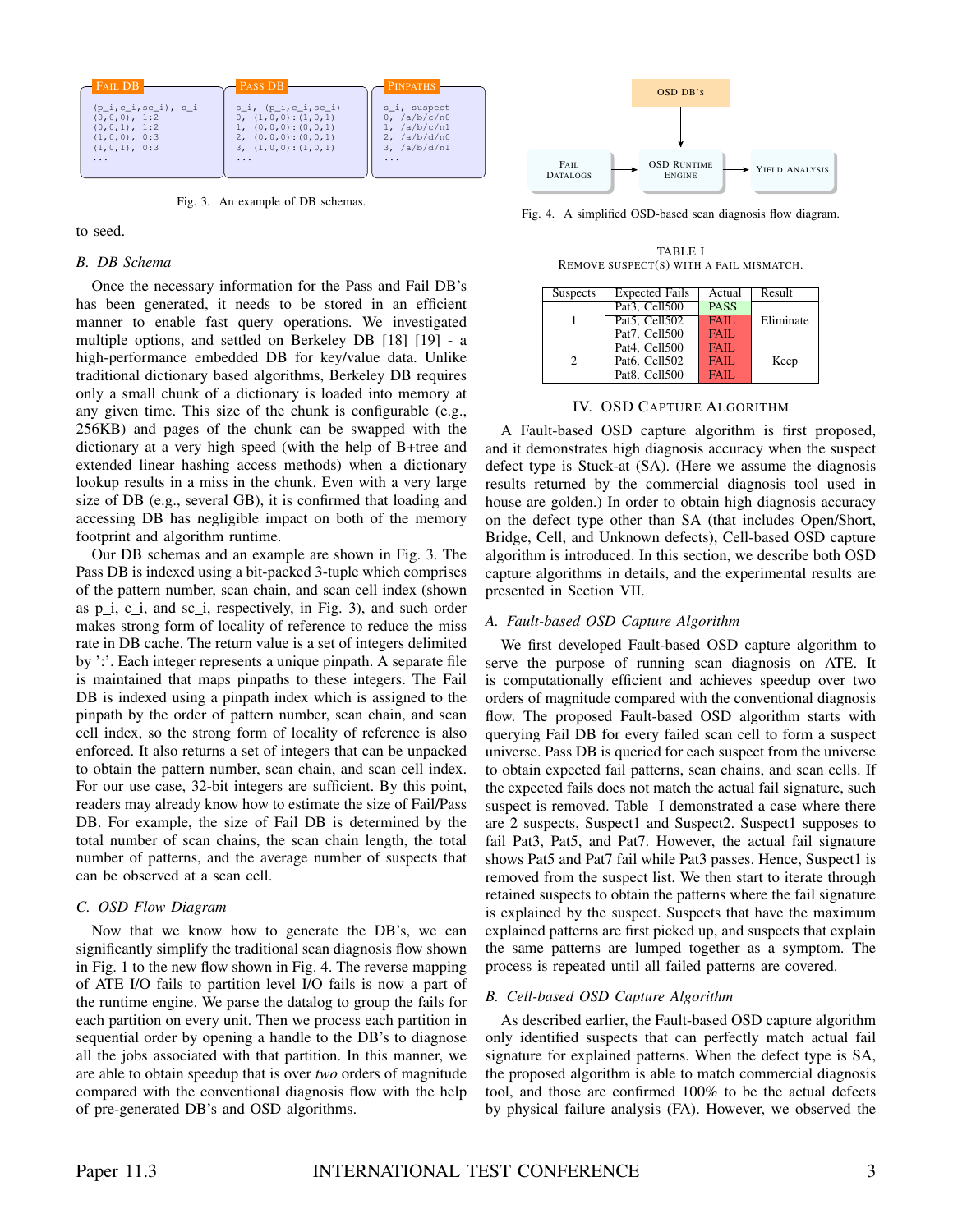

Fig. 3. An example of DB schemas.

to seed.

#### *B. DB Schema*

Once the necessary information for the Pass and Fail DB's has been generated, it needs to be stored in an efficient manner to enable fast query operations. We investigated multiple options, and settled on Berkeley DB [18] [19] - a high-performance embedded DB for key/value data. Unlike traditional dictionary based algorithms, Berkeley DB requires only a small chunk of a dictionary is loaded into memory at any given time. This size of the chunk is configurable (e.g., 256KB) and pages of the chunk can be swapped with the dictionary at a very high speed (with the help of B+tree and extended linear hashing access methods) when a dictionary lookup results in a miss in the chunk. Even with a very large size of DB (e.g., several GB), it is confirmed that loading and accessing DB has negligible impact on both of the memory footprint and algorithm runtime.

Our DB schemas and an example are shown in Fig. 3. The Pass DB is indexed using a bit-packed 3-tuple which comprises of the pattern number, scan chain, and scan cell index (shown as  $p_i$ ,  $c_i$ , and  $sc_i$ , respectively, in Fig. 3), and such order makes strong form of locality of reference to reduce the miss rate in DB cache. The return value is a set of integers delimited by ':'. Each integer represents a unique pinpath. A separate file is maintained that maps pinpaths to these integers. The Fail DB is indexed using a pinpath index which is assigned to the pinpath by the order of pattern number, scan chain, and scan cell index, so the strong form of locality of reference is also enforced. It also returns a set of integers that can be unpacked to obtain the pattern number, scan chain, and scan cell index. For our use case, 32-bit integers are sufficient. By this point, readers may already know how to estimate the size of Fail/Pass DB. For example, the size of Fail DB is determined by the total number of scan chains, the scan chain length, the total number of patterns, and the average number of suspects that can be observed at a scan cell.

# *C. OSD Flow Diagram*

Now that we know how to generate the DB's, we can significantly simplify the traditional scan diagnosis flow shown in Fig. 1 to the new flow shown in Fig. 4. The reverse mapping of ATE I/O fails to partition level I/O fails is now a part of the runtime engine. We parse the datalog to group the fails for each partition on every unit. Then we process each partition in sequential order by opening a handle to the DB's to diagnose all the jobs associated with that partition. In this manner, we are able to obtain speedup that is over *two* orders of magnitude compared with the conventional diagnosis flow with the help of pre-generated DB's and OSD algorithms.



Fig. 4. A simplified OSD-based scan diagnosis flow diagram.

TABLE I REMOVE SUSPECT(S) WITH A FAIL MISMATCH.

| <b>Suspects</b>             | <b>Expected Fails</b> | Actual      | Result    |
|-----------------------------|-----------------------|-------------|-----------|
|                             | Pat3, Cell500         | <b>PASS</b> |           |
|                             | Pat5, Cell502         | FAIL        | Eliminate |
|                             | Pat7, Cell500         | FAIL        |           |
|                             | Pat4, Cell500         | FAIL        |           |
| $\mathcal{D}_{\mathcal{L}}$ | Pat6, Cell502         | FAIL        | Keep      |
|                             | Pat8, Cell500         | FAIL.       |           |

#### IV. OSD CAPTURE ALGORITHM

A Fault-based OSD capture algorithm is first proposed, and it demonstrates high diagnosis accuracy when the suspect defect type is Stuck-at (SA). (Here we assume the diagnosis results returned by the commercial diagnosis tool used in house are golden.) In order to obtain high diagnosis accuracy on the defect type other than SA (that includes Open/Short, Bridge, Cell, and Unknown defects), Cell-based OSD capture algorithm is introduced. In this section, we describe both OSD capture algorithms in details, and the experimental results are presented in Section VII.

# *A. Fault-based OSD Capture Algorithm*

We first developed Fault-based OSD capture algorithm to serve the purpose of running scan diagnosis on ATE. It is computationally efficient and achieves speedup over two orders of magnitude compared with the conventional diagnosis flow. The proposed Fault-based OSD algorithm starts with querying Fail DB for every failed scan cell to form a suspect universe. Pass DB is queried for each suspect from the universe to obtain expected fail patterns, scan chains, and scan cells. If the expected fails does not match the actual fail signature, such suspect is removed. Table I demonstrated a case where there are 2 suspects, Suspect1 and Suspect2. Suspect1 supposes to fail Pat3, Pat5, and Pat7. However, the actual fail signature shows Pat5 and Pat7 fail while Pat3 passes. Hence, Suspect1 is removed from the suspect list. We then start to iterate through retained suspects to obtain the patterns where the fail signature is explained by the suspect. Suspects that have the maximum explained patterns are first picked up, and suspects that explain the same patterns are lumped together as a symptom. The process is repeated until all failed patterns are covered.

# *B. Cell-based OSD Capture Algorithm*

As described earlier, the Fault-based OSD capture algorithm only identified suspects that can perfectly match actual fail signature for explained patterns. When the defect type is SA, the proposed algorithm is able to match commercial diagnosis tool, and those are confirmed 100% to be the actual defects by physical failure analysis (FA). However, we observed the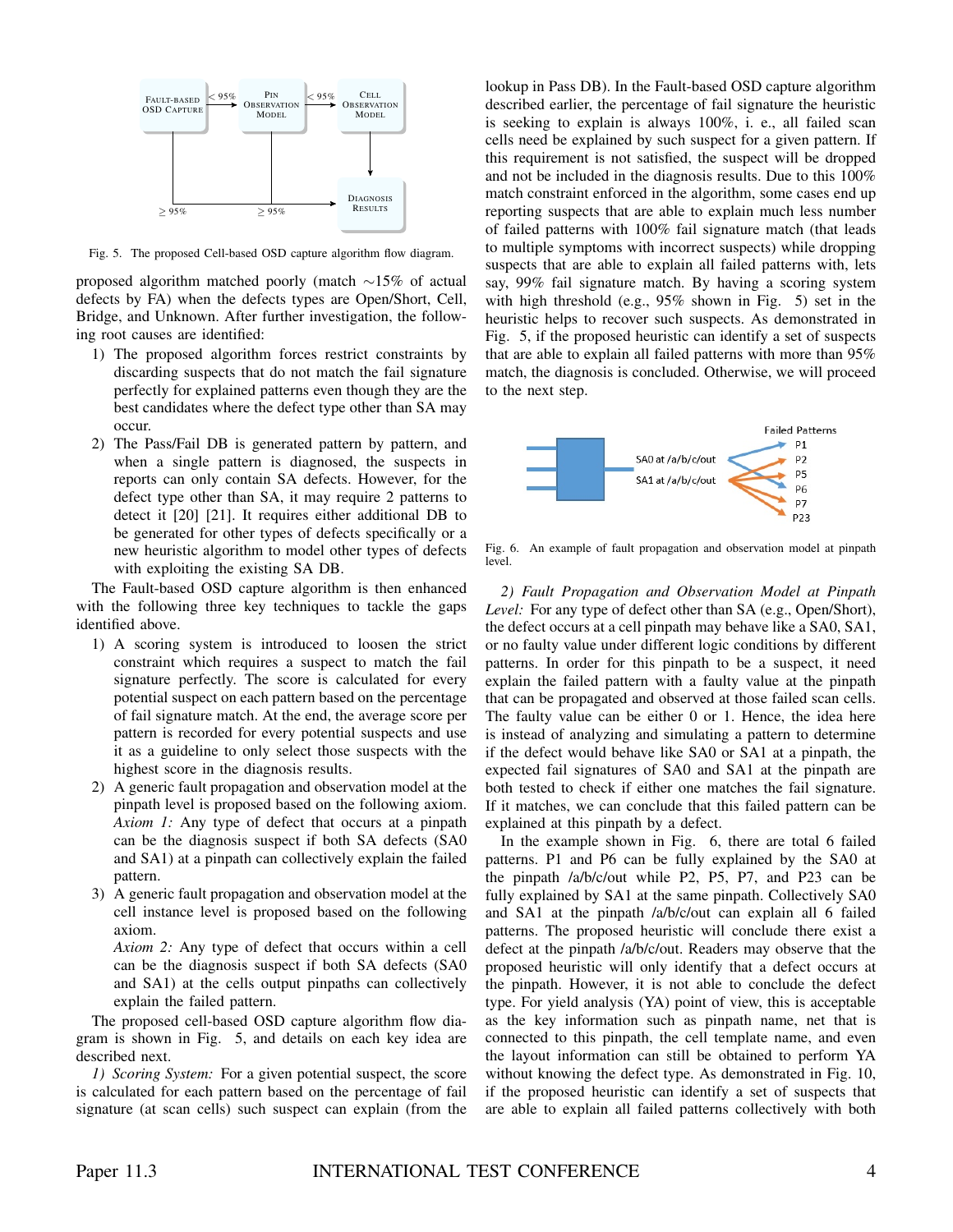

Fig. 5. The proposed Cell-based OSD capture algorithm flow diagram.

proposed algorithm matched poorly (match ∼15% of actual defects by FA) when the defects types are Open/Short, Cell, Bridge, and Unknown. After further investigation, the following root causes are identified:

- 1) The proposed algorithm forces restrict constraints by discarding suspects that do not match the fail signature perfectly for explained patterns even though they are the best candidates where the defect type other than SA may occur.
- 2) The Pass/Fail DB is generated pattern by pattern, and when a single pattern is diagnosed, the suspects in reports can only contain SA defects. However, for the defect type other than SA, it may require 2 patterns to detect it [20] [21]. It requires either additional DB to be generated for other types of defects specifically or a new heuristic algorithm to model other types of defects with exploiting the existing SA DB.

The Fault-based OSD capture algorithm is then enhanced with the following three key techniques to tackle the gaps identified above.

- 1) A scoring system is introduced to loosen the strict constraint which requires a suspect to match the fail signature perfectly. The score is calculated for every potential suspect on each pattern based on the percentage of fail signature match. At the end, the average score per pattern is recorded for every potential suspects and use it as a guideline to only select those suspects with the highest score in the diagnosis results.
- 2) A generic fault propagation and observation model at the pinpath level is proposed based on the following axiom. *Axiom 1:* Any type of defect that occurs at a pinpath can be the diagnosis suspect if both SA defects (SA0 and SA1) at a pinpath can collectively explain the failed pattern.
- 3) A generic fault propagation and observation model at the cell instance level is proposed based on the following axiom.

*Axiom 2:* Any type of defect that occurs within a cell can be the diagnosis suspect if both SA defects (SA0 and SA1) at the cells output pinpaths can collectively explain the failed pattern.

The proposed cell-based OSD capture algorithm flow diagram is shown in Fig. 5, and details on each key idea are described next.

*1) Scoring System:* For a given potential suspect, the score is calculated for each pattern based on the percentage of fail signature (at scan cells) such suspect can explain (from the lookup in Pass DB). In the Fault-based OSD capture algorithm described earlier, the percentage of fail signature the heuristic is seeking to explain is always 100%, i. e., all failed scan cells need be explained by such suspect for a given pattern. If this requirement is not satisfied, the suspect will be dropped and not be included in the diagnosis results. Due to this 100% match constraint enforced in the algorithm, some cases end up reporting suspects that are able to explain much less number of failed patterns with 100% fail signature match (that leads to multiple symptoms with incorrect suspects) while dropping suspects that are able to explain all failed patterns with, lets say, 99% fail signature match. By having a scoring system with high threshold (e.g., 95% shown in Fig. 5) set in the heuristic helps to recover such suspects. As demonstrated in Fig. 5, if the proposed heuristic can identify a set of suspects that are able to explain all failed patterns with more than 95% match, the diagnosis is concluded. Otherwise, we will proceed to the next step.



Fig. 6. An example of fault propagation and observation model at pinpath level.

*2) Fault Propagation and Observation Model at Pinpath Level:* For any type of defect other than SA (e.g., Open/Short), the defect occurs at a cell pinpath may behave like a SA0, SA1, or no faulty value under different logic conditions by different patterns. In order for this pinpath to be a suspect, it need explain the failed pattern with a faulty value at the pinpath that can be propagated and observed at those failed scan cells. The faulty value can be either 0 or 1. Hence, the idea here is instead of analyzing and simulating a pattern to determine if the defect would behave like SA0 or SA1 at a pinpath, the expected fail signatures of SA0 and SA1 at the pinpath are both tested to check if either one matches the fail signature. If it matches, we can conclude that this failed pattern can be explained at this pinpath by a defect.

In the example shown in Fig. 6, there are total 6 failed patterns. P1 and P6 can be fully explained by the SA0 at the pinpath /a/b/c/out while P2, P5, P7, and P23 can be fully explained by SA1 at the same pinpath. Collectively SA0 and SA1 at the pinpath /a/b/c/out can explain all 6 failed patterns. The proposed heuristic will conclude there exist a defect at the pinpath /a/b/c/out. Readers may observe that the proposed heuristic will only identify that a defect occurs at the pinpath. However, it is not able to conclude the defect type. For yield analysis (YA) point of view, this is acceptable as the key information such as pinpath name, net that is connected to this pinpath, the cell template name, and even the layout information can still be obtained to perform YA without knowing the defect type. As demonstrated in Fig. 10, if the proposed heuristic can identify a set of suspects that are able to explain all failed patterns collectively with both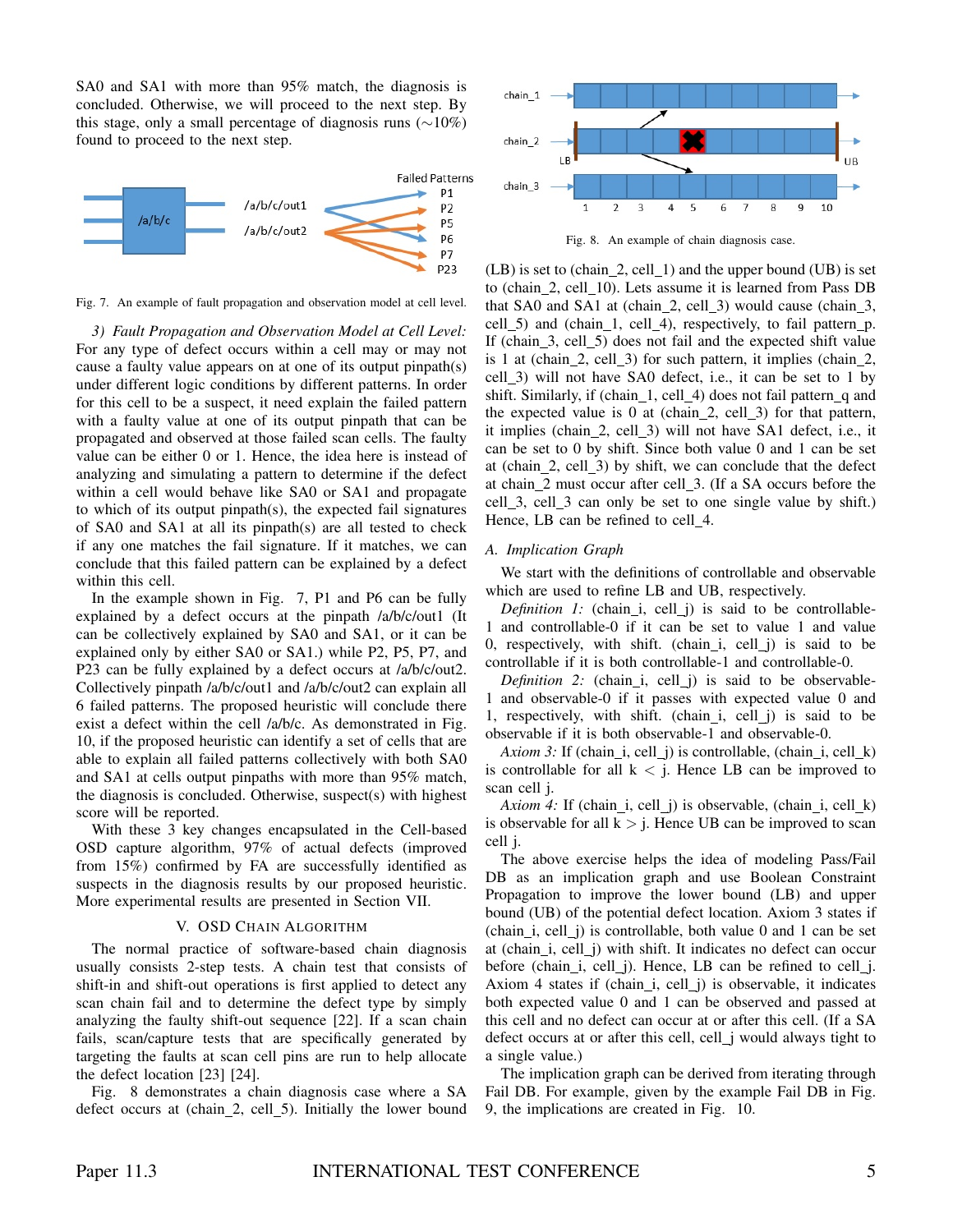SA0 and SA1 with more than 95% match, the diagnosis is concluded. Otherwise, we will proceed to the next step. By this stage, only a small percentage of diagnosis runs ( $\sim$ 10%) found to proceed to the next step.



Fig. 7. An example of fault propagation and observation model at cell level.

*3) Fault Propagation and Observation Model at Cell Level:* For any type of defect occurs within a cell may or may not cause a faulty value appears on at one of its output pinpath(s) under different logic conditions by different patterns. In order for this cell to be a suspect, it need explain the failed pattern with a faulty value at one of its output pinpath that can be propagated and observed at those failed scan cells. The faulty value can be either 0 or 1. Hence, the idea here is instead of analyzing and simulating a pattern to determine if the defect within a cell would behave like SA0 or SA1 and propagate to which of its output pinpath(s), the expected fail signatures of SA0 and SA1 at all its pinpath(s) are all tested to check if any one matches the fail signature. If it matches, we can conclude that this failed pattern can be explained by a defect within this cell.

In the example shown in Fig. 7, P1 and P6 can be fully explained by a defect occurs at the pinpath /a/b/c/out1 (It can be collectively explained by SA0 and SA1, or it can be explained only by either SA0 or SA1.) while P2, P5, P7, and P23 can be fully explained by a defect occurs at /a/b/c/out2. Collectively pinpath /a/b/c/out1 and /a/b/c/out2 can explain all 6 failed patterns. The proposed heuristic will conclude there exist a defect within the cell /a/b/c. As demonstrated in Fig. 10, if the proposed heuristic can identify a set of cells that are able to explain all failed patterns collectively with both SA0 and SA1 at cells output pinpaths with more than 95% match, the diagnosis is concluded. Otherwise, suspect(s) with highest score will be reported.

With these 3 key changes encapsulated in the Cell-based OSD capture algorithm, 97% of actual defects (improved from 15%) confirmed by FA are successfully identified as suspects in the diagnosis results by our proposed heuristic. More experimental results are presented in Section VII.

# V. OSD CHAIN ALGORITHM

The normal practice of software-based chain diagnosis usually consists 2-step tests. A chain test that consists of shift-in and shift-out operations is first applied to detect any scan chain fail and to determine the defect type by simply analyzing the faulty shift-out sequence [22]. If a scan chain fails, scan/capture tests that are specifically generated by targeting the faults at scan cell pins are run to help allocate the defect location [23] [24].

Fig. 8 demonstrates a chain diagnosis case where a SA defect occurs at (chain 2, cell 5). Initially the lower bound



Fig. 8. An example of chain diagnosis case.

 $(LB)$  is set to (chain 2, cell 1) and the upper bound (UB) is set to (chain 2, cell 10). Lets assume it is learned from Pass DB that SA0 and SA1 at (chain  $2$ , cell $\overline{3}$ ) would cause (chain  $\overline{3}$ , cell  $\leq$  5) and (chain 1, cell  $\leq$  4), respectively, to fail pattern  $\leq$  p. If (chain 3, cell 5) does not fail and the expected shift value is 1 at (chain  $2$ , cell  $3$ ) for such pattern, it implies (chain  $2$ , cell 3) will not have SA0 defect, i.e., it can be set to 1 by shift. Similarly, if (chain\_1, cell\_4) does not fail pattern\_q and the expected value is 0 at  $(char$   $2$ ,  $cell_3)$  for that pattern, it implies (chain 2, cell 3) will not have SA1 defect, i.e., it can be set to 0 by shift. Since both value 0 and 1 can be set at (chain 2, cell 3) by shift, we can conclude that the defect at chain 2 must occur after cell 3. (If a SA occurs before the cell\_3, cell\_3 can only be set to one single value by shift.) Hence, LB can be refined to cell\_4.

# *A. Implication Graph*

We start with the definitions of controllable and observable which are used to refine LB and UB, respectively.

*Definition 1:* (chain\_i, cell\_j) is said to be controllable-1 and controllable-0 if it can be set to value 1 and value 0, respectively, with shift. (chain i, cell  $j$ ) is said to be controllable if it is both controllable-1 and controllable-0.

*Definition 2:* (chain i, cell j) is said to be observable-1 and observable-0 if it passes with expected value 0 and 1, respectively, with shift.  $(chain_i, cell_j)$  is said to be observable if it is both observable-1 and observable-0.

*Axiom 3:* If (chain\_i, cell\_j) is controllable, (chain\_i, cell\_k) is controllable for all  $k < j$ . Hence LB can be improved to scan cell j.

*Axiom 4:* If (chain i, cell j) is observable, (chain i, cell k) is observable for all  $k > j$ . Hence UB can be improved to scan cell j.

The above exercise helps the idea of modeling Pass/Fail DB as an implication graph and use Boolean Constraint Propagation to improve the lower bound (LB) and upper bound (UB) of the potential defect location. Axiom 3 states if  $(chain_i, cell_i)$  is controllable, both value 0 and 1 can be set at (chain\_i, cell\_j) with shift. It indicates no defect can occur before (chain\_i, cell\_j). Hence, LB can be refined to cell\_j. Axiom 4 states if  $(chain_i, cell_i)$  is observable, it indicates both expected value 0 and 1 can be observed and passed at this cell and no defect can occur at or after this cell. (If a SA defect occurs at or after this cell, cell j would always tight to a single value.)

The implication graph can be derived from iterating through Fail DB. For example, given by the example Fail DB in Fig. 9, the implications are created in Fig. 10.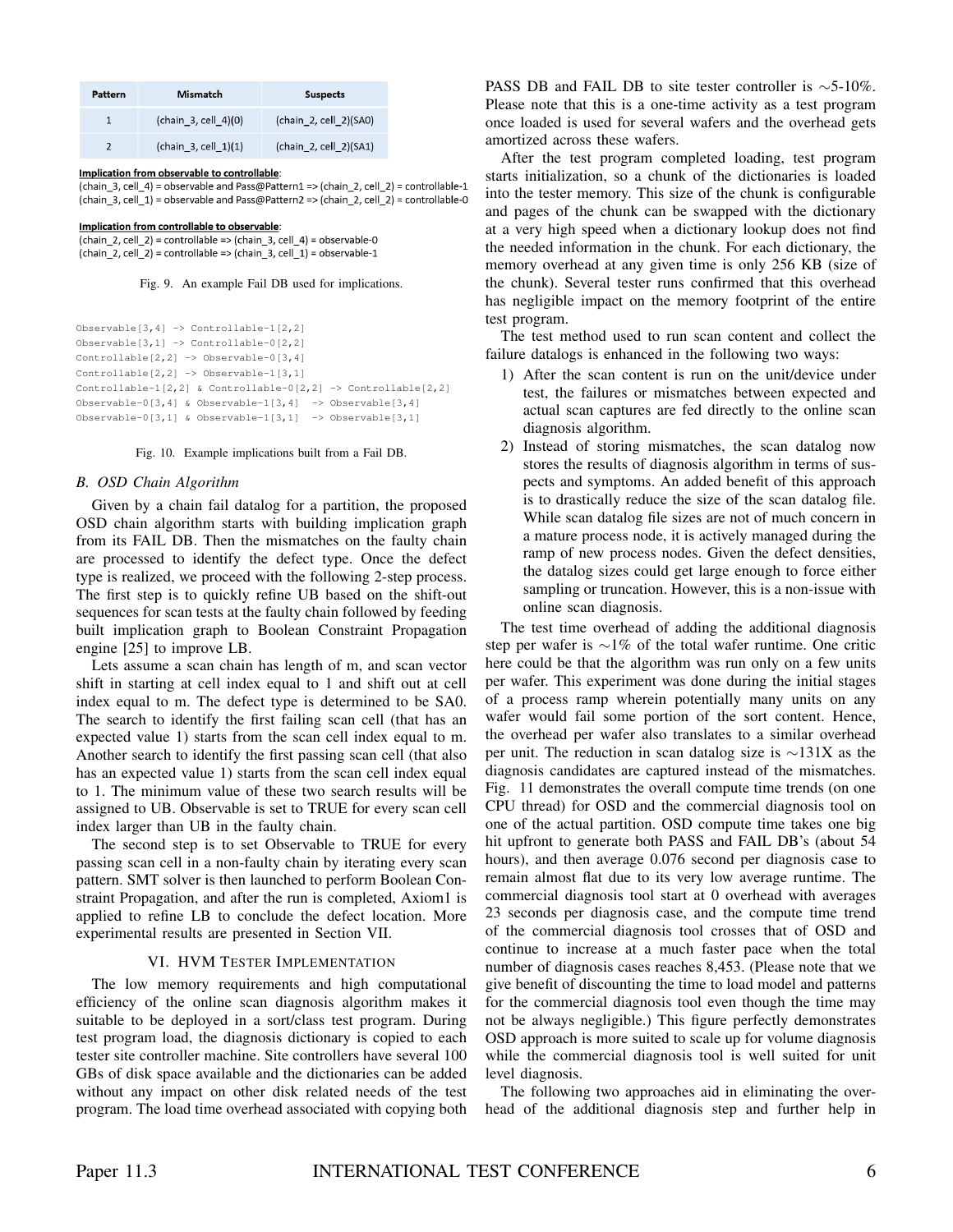| Pattern      | Mismatch                  | <b>Suspects</b>        |
|--------------|---------------------------|------------------------|
| $\mathbf{1}$ | (chain 3, cell 4)(0)      | (chain 2, cell 2)(SA0) |
| 2            | (chain $3$ , cell $1)(1)$ | (chain 2, cell 2)(SA1) |

Implication from observable to controllable:

(chain\_3, cell\_4) = observable and Pass@Pattern1 => (chain\_2, cell\_2) = controllable-1 (chain\_3, cell\_1) = observable and Pass@Pattern2 => (chain\_2, cell\_2) = controllable-0

#### Implication from controllable to observable:

 $\overline{\text{(chain_2, cell_2)}}$  = controllable =>  $\overline{\text{(chain_3, cell_4)}}$  = observable-0 (chain\_2, cell\_2) = controllable => (chain\_3, cell\_1) = observable-1

# Fig. 9. An example Fail DB used for implications.

```
Observable[3,4] -> Controllable-1[2,2]
Observable[3,1] -> Controllable-0[2,2]
Controllable[2,2] -> Observable-0[3,4]
Controllable[2,2] -> Observable-1[3,1]
Controllable-1[2,2] & Controllable-0[2,2] -> Controllable[2,2]
Observable-0[3,4] & Observable-1[3,4] -> Observable[3,4]
Observable-0[3,1] & Observable-1[3,1] -> Observable[3,1]
```
#### Fig. 10. Example implications built from a Fail DB.

# *B. OSD Chain Algorithm*

Given by a chain fail datalog for a partition, the proposed OSD chain algorithm starts with building implication graph from its FAIL DB. Then the mismatches on the faulty chain are processed to identify the defect type. Once the defect type is realized, we proceed with the following 2-step process. The first step is to quickly refine UB based on the shift-out sequences for scan tests at the faulty chain followed by feeding built implication graph to Boolean Constraint Propagation engine [25] to improve LB.

Lets assume a scan chain has length of m, and scan vector shift in starting at cell index equal to 1 and shift out at cell index equal to m. The defect type is determined to be SA0. The search to identify the first failing scan cell (that has an expected value 1) starts from the scan cell index equal to m. Another search to identify the first passing scan cell (that also has an expected value 1) starts from the scan cell index equal to 1. The minimum value of these two search results will be assigned to UB. Observable is set to TRUE for every scan cell index larger than UB in the faulty chain.

The second step is to set Observable to TRUE for every passing scan cell in a non-faulty chain by iterating every scan pattern. SMT solver is then launched to perform Boolean Constraint Propagation, and after the run is completed, Axiom1 is applied to refine LB to conclude the defect location. More experimental results are presented in Section VII.

# VI. HVM TESTER IMPLEMENTATION

The low memory requirements and high computational efficiency of the online scan diagnosis algorithm makes it suitable to be deployed in a sort/class test program. During test program load, the diagnosis dictionary is copied to each tester site controller machine. Site controllers have several 100 GBs of disk space available and the dictionaries can be added without any impact on other disk related needs of the test program. The load time overhead associated with copying both

PASS DB and FAIL DB to site tester controller is ∼5-10%. Please note that this is a one-time activity as a test program once loaded is used for several wafers and the overhead gets amortized across these wafers.

After the test program completed loading, test program starts initialization, so a chunk of the dictionaries is loaded into the tester memory. This size of the chunk is configurable and pages of the chunk can be swapped with the dictionary at a very high speed when a dictionary lookup does not find the needed information in the chunk. For each dictionary, the memory overhead at any given time is only 256 KB (size of the chunk). Several tester runs confirmed that this overhead has negligible impact on the memory footprint of the entire test program.

The test method used to run scan content and collect the failure datalogs is enhanced in the following two ways:

- 1) After the scan content is run on the unit/device under test, the failures or mismatches between expected and actual scan captures are fed directly to the online scan diagnosis algorithm.
- 2) Instead of storing mismatches, the scan datalog now stores the results of diagnosis algorithm in terms of suspects and symptoms. An added benefit of this approach is to drastically reduce the size of the scan datalog file. While scan datalog file sizes are not of much concern in a mature process node, it is actively managed during the ramp of new process nodes. Given the defect densities, the datalog sizes could get large enough to force either sampling or truncation. However, this is a non-issue with online scan diagnosis.

The test time overhead of adding the additional diagnosis step per wafer is ∼1% of the total wafer runtime. One critic here could be that the algorithm was run only on a few units per wafer. This experiment was done during the initial stages of a process ramp wherein potentially many units on any wafer would fail some portion of the sort content. Hence, the overhead per wafer also translates to a similar overhead per unit. The reduction in scan datalog size is ∼131X as the diagnosis candidates are captured instead of the mismatches. Fig. 11 demonstrates the overall compute time trends (on one CPU thread) for OSD and the commercial diagnosis tool on one of the actual partition. OSD compute time takes one big hit upfront to generate both PASS and FAIL DB's (about 54 hours), and then average  $0.076$  second per diagnosis case to remain almost flat due to its very low average runtime. The commercial diagnosis tool start at 0 overhead with averages 23 seconds per diagnosis case, and the compute time trend of the commercial diagnosis tool crosses that of OSD and continue to increase at a much faster pace when the total number of diagnosis cases reaches 8,453. (Please note that we give benefit of discounting the time to load model and patterns for the commercial diagnosis tool even though the time may not be always negligible.) This figure perfectly demonstrates OSD approach is more suited to scale up for volume diagnosis while the commercial diagnosis tool is well suited for unit level diagnosis.

The following two approaches aid in eliminating the overhead of the additional diagnosis step and further help in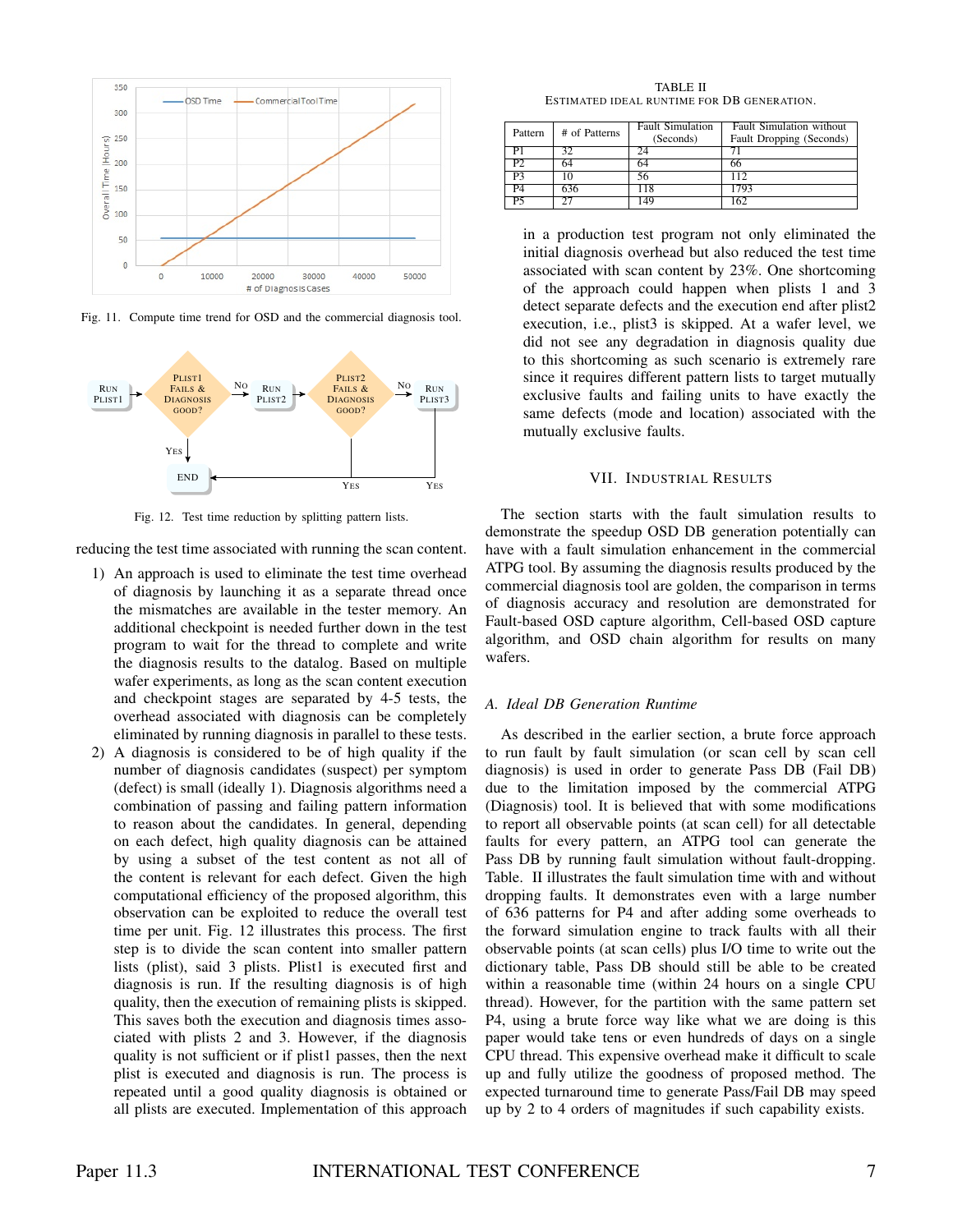

Fig. 11. Compute time trend for OSD and the commercial diagnosis tool.



Fig. 12. Test time reduction by splitting pattern lists.

reducing the test time associated with running the scan content.

- 1) An approach is used to eliminate the test time overhead of diagnosis by launching it as a separate thread once the mismatches are available in the tester memory. An additional checkpoint is needed further down in the test program to wait for the thread to complete and write the diagnosis results to the datalog. Based on multiple wafer experiments, as long as the scan content execution and checkpoint stages are separated by 4-5 tests, the overhead associated with diagnosis can be completely eliminated by running diagnosis in parallel to these tests.
- 2) A diagnosis is considered to be of high quality if the number of diagnosis candidates (suspect) per symptom (defect) is small (ideally 1). Diagnosis algorithms need a combination of passing and failing pattern information to reason about the candidates. In general, depending on each defect, high quality diagnosis can be attained by using a subset of the test content as not all of the content is relevant for each defect. Given the high computational efficiency of the proposed algorithm, this observation can be exploited to reduce the overall test time per unit. Fig. 12 illustrates this process. The first step is to divide the scan content into smaller pattern lists (plist), said 3 plists. Plist1 is executed first and diagnosis is run. If the resulting diagnosis is of high quality, then the execution of remaining plists is skipped. This saves both the execution and diagnosis times associated with plists 2 and 3. However, if the diagnosis quality is not sufficient or if plist1 passes, then the next plist is executed and diagnosis is run. The process is repeated until a good quality diagnosis is obtained or all plists are executed. Implementation of this approach

TABLE II ESTIMATED IDEAL RUNTIME FOR DB GENERATION.

| Pattern        | # of Patterns | <b>Fault Simulation</b> | <b>Fault Simulation without</b> |
|----------------|---------------|-------------------------|---------------------------------|
|                |               | (Seconds)               | Fault Dropping (Seconds)        |
| P1             | 32            | 24                      |                                 |
| P2             | 64            | 64                      | 66                              |
| P3             | 10            | 56                      | 112                             |
| P4             | 636           | 118                     | 1793                            |
| P <sub>5</sub> | רר            | 149                     | 162                             |

in a production test program not only eliminated the initial diagnosis overhead but also reduced the test time associated with scan content by 23%. One shortcoming of the approach could happen when plists 1 and 3 detect separate defects and the execution end after plist2 execution, i.e., plist3 is skipped. At a wafer level, we did not see any degradation in diagnosis quality due to this shortcoming as such scenario is extremely rare since it requires different pattern lists to target mutually exclusive faults and failing units to have exactly the same defects (mode and location) associated with the mutually exclusive faults.

# VII. INDUSTRIAL RESULTS

The section starts with the fault simulation results to demonstrate the speedup OSD DB generation potentially can have with a fault simulation enhancement in the commercial ATPG tool. By assuming the diagnosis results produced by the commercial diagnosis tool are golden, the comparison in terms of diagnosis accuracy and resolution are demonstrated for Fault-based OSD capture algorithm, Cell-based OSD capture algorithm, and OSD chain algorithm for results on many wafers.

#### *A. Ideal DB Generation Runtime*

As described in the earlier section, a brute force approach to run fault by fault simulation (or scan cell by scan cell diagnosis) is used in order to generate Pass DB (Fail DB) due to the limitation imposed by the commercial ATPG (Diagnosis) tool. It is believed that with some modifications to report all observable points (at scan cell) for all detectable faults for every pattern, an ATPG tool can generate the Pass DB by running fault simulation without fault-dropping. Table. II illustrates the fault simulation time with and without dropping faults. It demonstrates even with a large number of 636 patterns for P4 and after adding some overheads to the forward simulation engine to track faults with all their observable points (at scan cells) plus I/O time to write out the dictionary table, Pass DB should still be able to be created within a reasonable time (within 24 hours on a single CPU thread). However, for the partition with the same pattern set P4, using a brute force way like what we are doing is this paper would take tens or even hundreds of days on a single CPU thread. This expensive overhead make it difficult to scale up and fully utilize the goodness of proposed method. The expected turnaround time to generate Pass/Fail DB may speed up by 2 to 4 orders of magnitudes if such capability exists.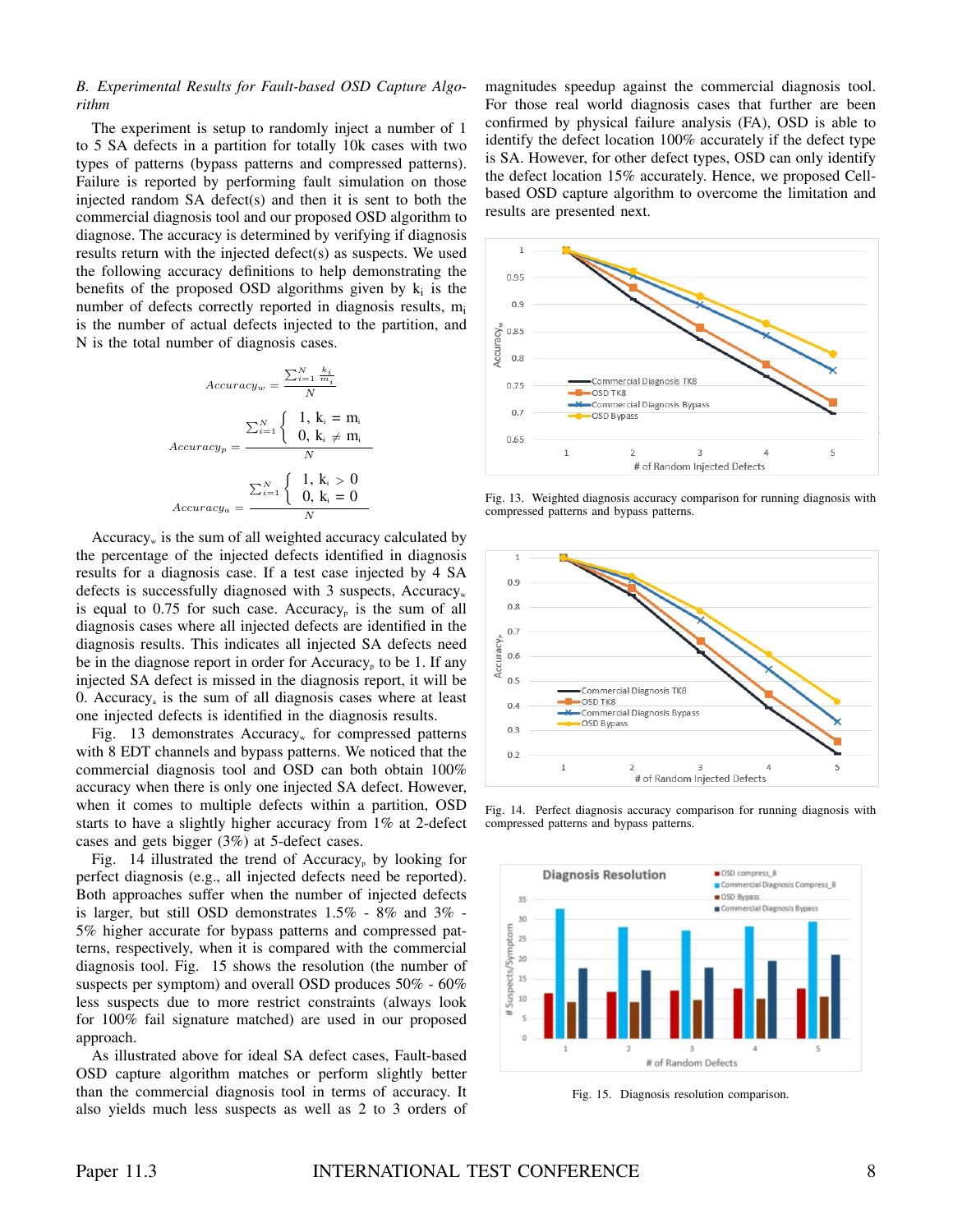# *B. Experimental Results for Fault-based OSD Capture Algorithm*

The experiment is setup to randomly inject a number of 1 to 5 SA defects in a partition for totally 10k cases with two types of patterns (bypass patterns and compressed patterns). Failure is reported by performing fault simulation on those injected random SA defect(s) and then it is sent to both the commercial diagnosis tool and our proposed OSD algorithm to diagnose. The accuracy is determined by verifying if diagnosis results return with the injected defect(s) as suspects. We used the following accuracy definitions to help demonstrating the benefits of the proposed OSD algorithms given by  $k_i$  is the number of defects correctly reported in diagnosis results,  $m_i$ is the number of actual defects injected to the partition, and N is the total number of diagnosis cases.

$$
Accuracy_w = \frac{\sum_{i=1}^{N} \frac{k_i}{m_i}}{N}
$$

$$
Accuracy_p = \frac{\sum_{i=1}^{N} \left\{ \begin{array}{l} 1, k_i = m_i\\ 0, k_i \neq m_i \end{array} \right.}{N}
$$

$$
Accuracy_a = \frac{\sum_{i=1}^{N} \left\{ \begin{array}{l} 1, k_i > 0\\ 0, k_i = 0 \end{array} \right.}{N}
$$

 $Accuracy<sub>w</sub>$  is the sum of all weighted accuracy calculated by the percentage of the injected defects identified in diagnosis results for a diagnosis case. If a test case injected by 4 SA defects is successfully diagnosed with 3 suspects, Accuracy<sub>w</sub> is equal to  $0.75$  for such case. Accuracy<sub>p</sub> is the sum of all diagnosis cases where all injected defects are identified in the diagnosis results. This indicates all injected SA defects need be in the diagnose report in order for Accuracy<sub>p</sub> to be 1. If any injected SA defect is missed in the diagnosis report, it will be 0. Accuracy<sub>a</sub> is the sum of all diagnosis cases where at least one injected defects is identified in the diagnosis results.

Fig. 13 demonstrates  $Accuracy<sub>w</sub>$  for compressed patterns with 8 EDT channels and bypass patterns. We noticed that the commercial diagnosis tool and OSD can both obtain 100% accuracy when there is only one injected SA defect. However, when it comes to multiple defects within a partition, OSD starts to have a slightly higher accuracy from 1% at 2-defect cases and gets bigger (3%) at 5-defect cases.

Fig. 14 illustrated the trend of Accuracy<sub>p</sub> by looking for perfect diagnosis (e.g., all injected defects need be reported). Both approaches suffer when the number of injected defects is larger, but still OSD demonstrates 1.5% - 8% and 3% - 5% higher accurate for bypass patterns and compressed patterns, respectively, when it is compared with the commercial diagnosis tool. Fig. 15 shows the resolution (the number of suspects per symptom) and overall OSD produces 50% - 60% less suspects due to more restrict constraints (always look for 100% fail signature matched) are used in our proposed approach.

As illustrated above for ideal SA defect cases, Fault-based OSD capture algorithm matches or perform slightly better than the commercial diagnosis tool in terms of accuracy. It also yields much less suspects as well as 2 to 3 orders of

magnitudes speedup against the commercial diagnosis tool. For those real world diagnosis cases that further are been confirmed by physical failure analysis (FA), OSD is able to identify the defect location 100% accurately if the defect type is SA. However, for other defect types, OSD can only identify the defect location 15% accurately. Hence, we proposed Cellbased OSD capture algorithm to overcome the limitation and results are presented next.



Fig. 13. Weighted diagnosis accuracy comparison for running diagnosis with compressed patterns and bypass patterns.



Fig. 14. Perfect diagnosis accuracy comparison for running diagnosis with compressed patterns and bypass patterns.



Fig. 15. Diagnosis resolution comparison.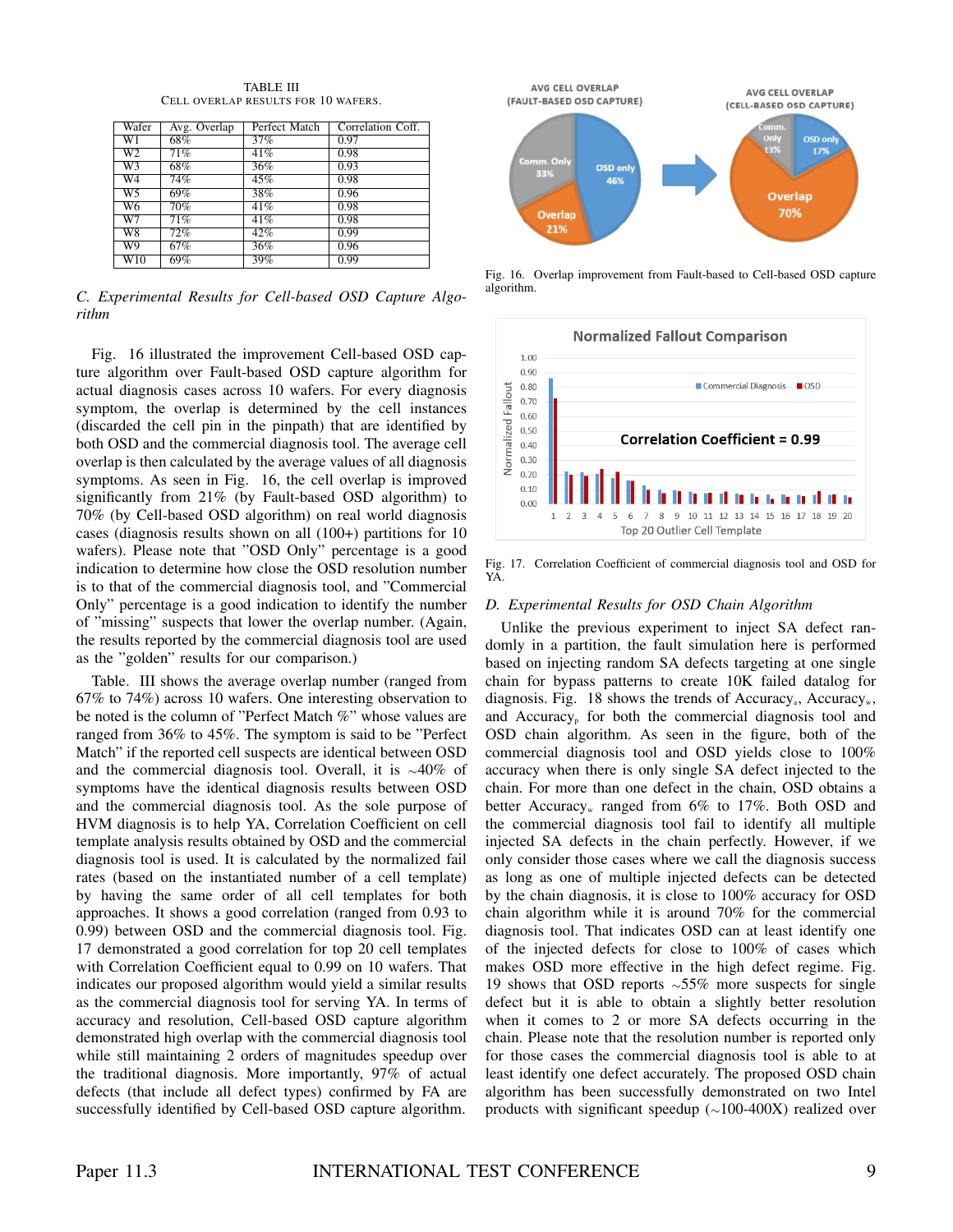| Wafer          | Avg. Overlap      | Perfect Match | Correlation Coff. |
|----------------|-------------------|---------------|-------------------|
| W1             | 68%               | 37%           | 0.97              |
| W <sub>2</sub> | 71%               | 41%           | 0.98              |
| $W_3$          | 68%               | 36%           | 0.93              |
| W <sub>4</sub> | 74%               | 45%           | 0.98              |
| W <sub>5</sub> | 69%               | 38%           | 0.96              |
| W <sub>6</sub> | 70%               | 41%           | 0.98              |
| W <sub>7</sub> | 71%               | 41%           | 0.98              |
| W8             | 72%               | 42%           | 0.99              |
| W9             | $\overline{67}\%$ | 36%           | 0.96              |
| W10            | 69%               | 39%           | 0.99              |

TABLE III CELL OVERLAP RESULTS FOR 10 WAFERS.

*C. Experimental Results for Cell-based OSD Capture Algorithm*

Fig. 16 illustrated the improvement Cell-based OSD capture algorithm over Fault-based OSD capture algorithm for actual diagnosis cases across 10 wafers. For every diagnosis symptom, the overlap is determined by the cell instances (discarded the cell pin in the pinpath) that are identified by both OSD and the commercial diagnosis tool. The average cell overlap is then calculated by the average values of all diagnosis symptoms. As seen in Fig. 16, the cell overlap is improved significantly from 21% (by Fault-based OSD algorithm) to 70% (by Cell-based OSD algorithm) on real world diagnosis cases (diagnosis results shown on all (100+) partitions for 10 wafers). Please note that "OSD Only" percentage is a good indication to determine how close the OSD resolution number is to that of the commercial diagnosis tool, and "Commercial Only" percentage is a good indication to identify the number of "missing" suspects that lower the overlap number. (Again, the results reported by the commercial diagnosis tool are used as the "golden" results for our comparison.)

Table. III shows the average overlap number (ranged from 67% to 74%) across 10 wafers. One interesting observation to be noted is the column of "Perfect Match %" whose values are ranged from 36% to 45%. The symptom is said to be "Perfect Match" if the reported cell suspects are identical between OSD and the commercial diagnosis tool. Overall, it is <sup>∼</sup>40% of symptoms have the identical diagnosis results between OSD and the commercial diagnosis tool. As the sole purpose of HVM diagnosis is to help YA, Correlation Coefficient on cell template analysis results obtained by OSD and the commercial diagnosis tool is used. It is calculated by the normalized fail rates (based on the instantiated number of a cell template) by having the same order of all cell templates for both approaches. It shows a good correlation (ranged from 0.93 to 0.99) between OSD and the commercial diagnosis tool. Fig. 17 demonstrated a good correlation for top 20 cell templates with Correlation Coefficient equal to 0.99 on 10 wafers. That indicates our proposed algorithm would yield a similar results as the commercial diagnosis tool for serving YA. In terms of accuracy and resolution, Cell-based OSD capture algorithm demonstrated high overlap with the commercial diagnosis tool while still maintaining 2 orders of magnitudes speedup over the traditional diagnosis. More importantly, 97% of actual defects (that include all defect types) confirmed by FA are successfully identified by Cell-based OSD capture algorithm.



Fig. 16. Overlap improvement from Fault-based to Cell-based OSD capture algorithm.



Fig. 17. Correlation Coefficient of commercial diagnosis tool and OSD for YA.

#### *D. Experimental Results for OSD Chain Algorithm*

Unlike the previous experiment to inject SA defect randomly in a partition, the fault simulation here is performed based on injecting random SA defects targeting at one single chain for bypass patterns to create 10K failed datalog for diagnosis. Fig. 18 shows the trends of  $Accuracy<sub>a</sub>$ ,  $Accuracy<sub>w</sub>$ , and Accuracy<sub>p</sub> for both the commercial diagnosis tool and OSD chain algorithm. As seen in the figure, both of the commercial diagnosis tool and OSD yields close to 100% accuracy when there is only single SA defect injected to the chain. For more than one defect in the chain, OSD obtains a better Accuracy<sub>w</sub> ranged from  $6\%$  to 17%. Both OSD and the commercial diagnosis tool fail to identify all multiple injected SA defects in the chain perfectly. However, if we only consider those cases where we call the diagnosis success as long as one of multiple injected defects can be detected by the chain diagnosis, it is close to 100% accuracy for OSD chain algorithm while it is around 70% for the commercial diagnosis tool. That indicates OSD can at least identify one of the injected defects for close to 100% of cases which makes OSD more effective in the high defect regime. Fig. 19 shows that OSD reports <sup>∼</sup>55% more suspects for single defect but it is able to obtain a slightly better resolution when it comes to 2 or more SA defects occurring in the chain. Please note that the resolution number is reported only for those cases the commercial diagnosis tool is able to at least identify one defect accurately. The proposed OSD chain algorithm has been successfully demonstrated on two Intel products with significant speedup (∼100-400X) realized over